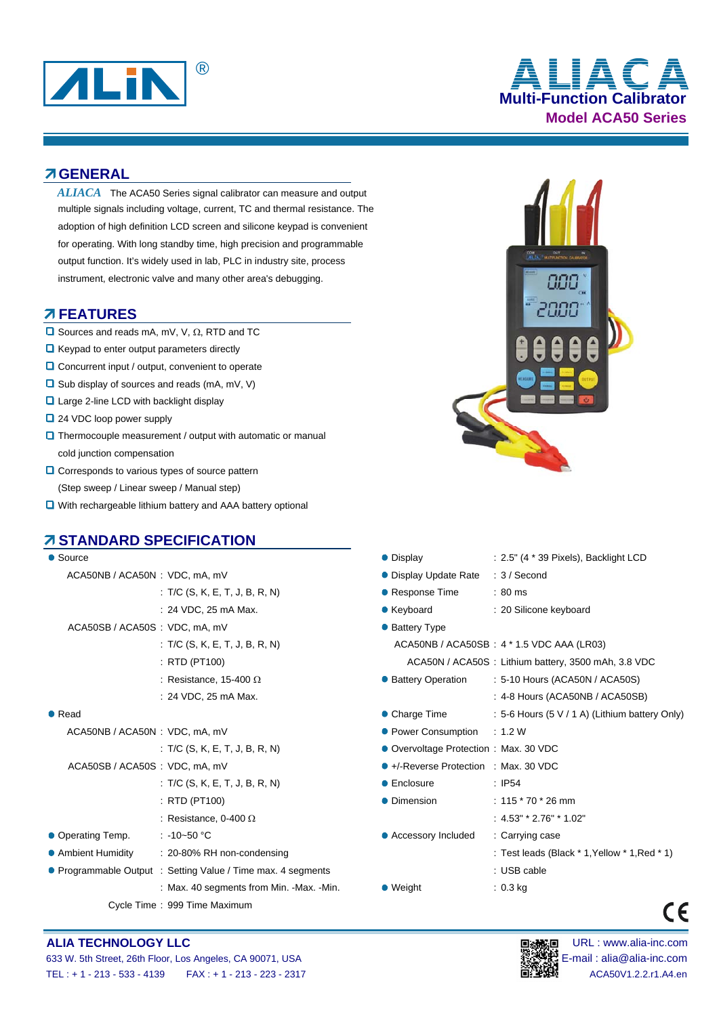

# **Multi-Function Calibrator Model ACA50 Series** ® **ALIACA**

### **GENERAL**

 $ALIACA$  The ACA50 Series signal calibrator can measure and output multiple signals including voltage, current, TC and thermal resistance. The adoption of high definition LCD screen and silicone keypad is convenient for operating. With long standby time, high precision and programmable output function. It's widely used in lab, PLC in industry site, process instrument, electronic valve and many other area's debugging.

### **FEATURES**

- $\Box$  Sources and reads mA, mV, V,  $\Omega$ , RTD and TC
- $\Box$  Keypad to enter output parameters directly
- **□** Concurrent input / output, convenient to operate
- $\Box$  Sub display of sources and reads (mA, mV, V)
- Large 2-line LCD with backlight display
- 24 VDC loop power supply
- $\Box$  Thermocouple measurement / output with automatic or manual cold junction compensation
- **□** Corresponds to various types of source pattern (Step sweep / Linear sweep / Manual step)
- With rechargeable lithium battery and AAA battery optional

## *A* **STANDARD SPECIFICATION**

| • Source                       |                                                              | • Display                             | $: 2.5"$ (4 $*$ 39 Pi |
|--------------------------------|--------------------------------------------------------------|---------------------------------------|-----------------------|
| ACA50NB / ACA50N: VDC, mA, mV  |                                                              | • Display Update Rate : 3 / Second    |                       |
|                                | : $T/C$ (S, K, E, T, J, B, R, N)                             | $\bullet$ Response Time               | $: 80$ ms             |
|                                | : 24 VDC, 25 mA Max.                                         | ● Keyboard                            | : 20 Silicone ke      |
| ACA50SB / ACA50S: VDC, mA, mV  |                                                              | • Battery Type                        |                       |
|                                | : $T/C$ (S, K, E, T, J, B, R, N)                             | ACA50NB / ACA50SB: 4 * 1.5 VDC A      |                       |
|                                | $:$ RTD (PT100)                                              | ACA50N / ACA50S : Lithium batter      |                       |
|                                | : Resistance, 15-400 $\Omega$                                | • Battery Operation                   | :5-10 Hours (A        |
|                                | : 24 VDC, 25 mA Max.                                         |                                       | $: 4-8$ Hours (AC     |
| $\bullet$ Read                 |                                                              | $\bullet$ Charge Time                 | $: 5$ -6 Hours (5)    |
| ACA50NB / ACA50N: VDC, mA, mV  |                                                              | ● Power Consumption : 1.2 W           |                       |
|                                | : T/C (S, K, E, T, J, B, R, N)                               | Overvoltage Protection: Max. 30 VDC   |                       |
| ACA50SB / ACA50S : VDC, mA, mV |                                                              | ● +/-Reverse Protection : Max. 30 VDC |                       |
|                                | : T/C $(S, K, E, T, J, B, R, N)$                             | • Enclosure                           | $\therefore$ IP54     |
|                                | $:$ RTD (PT100)                                              | • Dimension                           | : $115 * 70 * 26$     |
|                                | : Resistance, 0-400 $\Omega$                                 |                                       | : 4.53" * 2.76" *     |
| • Operating Temp.              | $: -10 - 50$ °C                                              | • Accessory Included                  | : Carrying case       |
|                                | • Ambient Humidity : 20-80% RH non-condensing                |                                       | : Test leads (Bl      |
|                                | • Programmable Output : Setting Value / Time max. 4 segments |                                       | : USB cable           |
|                                | : Max. 40 segments from Min. -Max. -Min.                     | $\bullet$ Weight                      | $: 0.3$ kg            |
|                                | Cycle Time: 999 Time Maximum                                 |                                       |                       |



| <u>UIANDAND UI LUII IUATIUN</u> |                                                            |                                       |                                                      |
|---------------------------------|------------------------------------------------------------|---------------------------------------|------------------------------------------------------|
| Source                          |                                                            | • Display                             | $: 2.5"$ (4 $*$ 39 Pixels), Backlight LCD            |
| ACA50NB / ACA50N: VDC, mA, mV   |                                                            | • Display Update Rate                 | $: 3 /$ Second                                       |
|                                 | : $T/C$ (S, K, E, T, J, B, R, N)                           | ● Response Time                       | : 80 ms                                              |
|                                 | : 24 VDC, 25 mA Max.                                       | ● Keyboard                            | : 20 Silicone keyboard                               |
| ACA50SB / ACA50S: VDC, mA, mV   |                                                            | • Battery Type                        |                                                      |
|                                 | : $T/C$ (S, K, E, T, J, B, R, N)                           |                                       | ACA50NB / ACA50SB : 4 * 1.5 VDC AAA (LR03)           |
|                                 | $:$ RTD (PT100)                                            |                                       | ACA50N / ACA50S : Lithium battery, 3500 mAh, 3.8 VDC |
|                                 | : Resistance, 15-400 $\Omega$                              | • Battery Operation                   | : 5-10 Hours (ACA50N / ACA50S)                       |
|                                 | : 24 VDC, 25 mA Max.                                       |                                       | $: 4-8$ Hours (ACA50NB / ACA50SB)                    |
| Read                            |                                                            | • Charge Time                         | : 5-6 Hours (5 V / 1 A) (Lithium battery Only)       |
| ACA50NB / ACA50N: VDC, mA, mV   |                                                            | • Power Consumption                   | : 1.2 W                                              |
|                                 | : $T/C$ (S, K, E, T, J, B, R, N)                           | • Overvoltage Protection: Max. 30 VDC |                                                      |
| ACA50SB / ACA50S: VDC, mA, mV   |                                                            | ● +/-Reverse Protection : Max. 30 VDC |                                                      |
|                                 | : $T/C$ (S, K, E, T, J, B, R, N)                           | • Enclosure                           | : IP54                                               |
|                                 | : RTD (PT100)                                              | • Dimension                           | $: 115 * 70 * 26$ mm                                 |
|                                 | : Resistance, 0-400 $\Omega$                               |                                       | $: 4.53" * 2.76" * 1.02"$                            |
| Operating Temp.                 | $: -10 - 50$ °C                                            | • Accessory Included                  | : Carrying case                                      |
| <b>Ambient Humidity</b>         | : 20-80% RH non-condensing                                 |                                       | : Test leads (Black $*$ 1, Yellow $*$ 1, Red $*$ 1)  |
|                                 | Programmable Output : Setting Value / Time max. 4 segments |                                       | : USB cable                                          |
|                                 | : Max. 40 segments from Min. -Max. -Min.                   | $\bullet$ Weight                      | $: 0.3$ kg                                           |
|                                 | Cycle Time: 999 Time Maximum                               |                                       | €                                                    |

#### **ALIA TECHNOLOGY LLC DEVICED DEVICED DEVICED DEVICED DEVICED DEVICED DEVICED DEVICED DEVICED DEVICED DEVICED**